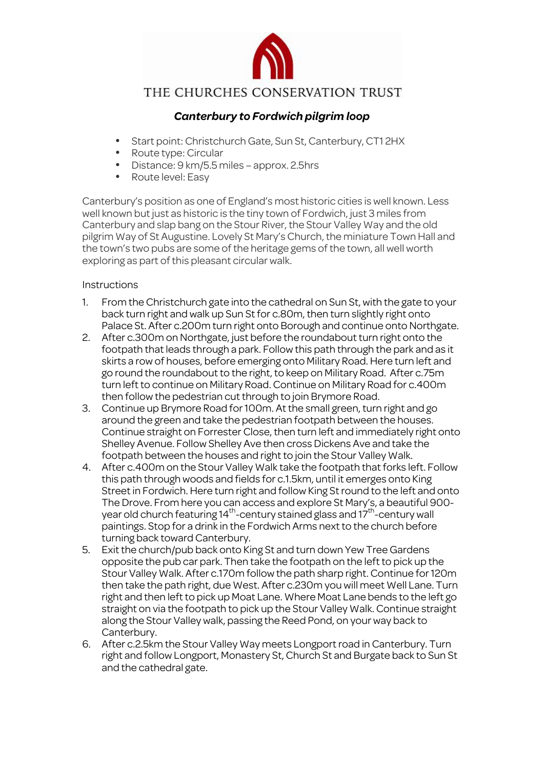

## THE CHURCHES CONSERVATION TRUST

## *Canterbury to Fordwich pilgrim loop*

- Start point: Christchurch Gate, Sun St, Canterbury, CT1 2HX
- Route type: Circular
- Distance:  $9 \text{ km}/5.5 \text{ miles}$  approx. 2.5hrs<br>• Route level: Easy
- Route level: Easy

Canterbury's position as one of England's most historic cities is well known. Less well known but just as historic is the tiny town of Fordwich, just 3 miles from Canterbury and slap bang on the Stour River, the Stour Valley Way and the old pilgrim Way of St Augustine. Lovely St Mary's Church, the miniature Town Hall and the town's two pubs are some of the heritage gems of the town, all well worth exploring as part of this pleasant circular walk.

## Instructions

- 1. From the Christchurch gate into the cathedral on Sun St, with the gate to your back turn right and walk up Sun St for c.80m, then turn slightly right onto Palace St. After c.200m turn right onto Borough and continue onto Northgate.
- 2. After c.300m on Northgate, just before the roundabout turn right onto the footpath that leads through a park. Follow this path through the park and as it skirts a row of houses, before emerging onto Military Road. Here turn left and go round the roundabout to the right, to keep on Military Road. After c.75m turn left to continue on Military Road. Continue on Military Road for c.400m then follow the pedestrian cut through to join Brymore Road.
- 3. Continue up Brymore Road for 100m. At the small green, turn right and go around the green and take the pedestrian footpath between the houses. Continue straight on Forrester Close, then turn left and immediately right onto Shelley Avenue. Follow Shelley Ave then cross Dickens Ave and take the footpath between the houses and right to join the Stour Valley Walk.
- 4. After c.400m on the Stour Valley Walk take the footpath that forks left. Follow this path through woods and fields for c.1.5km, until it emerges onto King Street in Fordwich. Here turn right and follow King St round to the left and onto The Drove. From here you can access and explore St Mary's, a beautiful 900 year old church featuring  $14^{th}$ -century stained glass and  $17^{th}$ -century wall paintings. Stop for a drink in the Fordwich Arms next to the church before turning back toward Canterbury.
- 5. Exit the church/pub back onto King St and turn down Yew Tree Gardens opposite the pub car park. Then take the footpath on the left to pick up the Stour Valley Walk. After c.170m follow the path sharp right. Continue for 120m then take the path right, due West. After c.230m you will meet Well Lane. Turn right and then left to pick up Moat Lane. Where Moat Lane bends to the left go straight on via the footpath to pick up the Stour Valley Walk. Continue straight along the Stour Valley walk, passing the Reed Pond, on your way back to Canterbury.
- 6. After c.2.5km the Stour Valley Way meets Longport road in Canterbury. Turn right and follow Longport, Monastery St, Church St and Burgate back to Sun St and the cathedral gate.